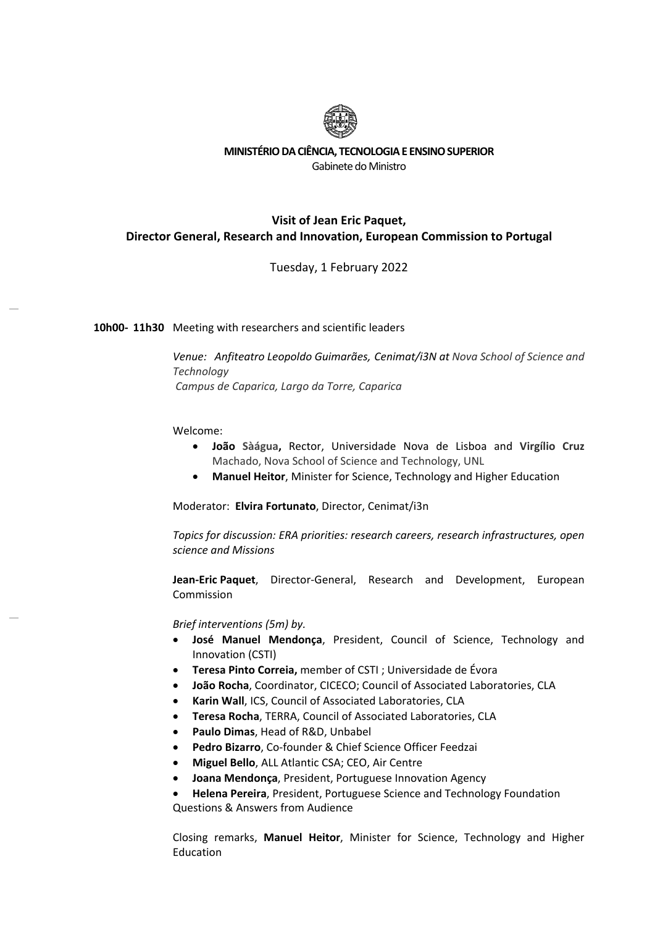

### **MINISTÉRIO DA CIÊNCIA, TECNOLOGIA E ENSINO SUPERIOR**  Gabinete do Ministro

## **Visit of Jean Eric Paquet, Director General, Research and Innovation, European Commission to Portugal**

Tuesday, 1 February 2022

### **10h00‐ 11h30** Meeting with researchers and scientific leaders

*Venue: Anfiteatro Leopoldo Guimarães, Cenimat/i3N at Nova School of Science and Technology Campus de Caparica, Largo da Torre, Caparica*

#### Welcome:

- **João Sàágua,** Rector, Universidade Nova de Lisboa and **Virgílio Cruz** Machado, Nova School of Science and Technology, UNL
- **Manuel Heitor**, Minister for Science, Technology and Higher Education

Moderator: **Elvira Fortunato**, Director, Cenimat/i3n

*Topics for discussion: ERA priorities: research careers, research infrastructures, open science and Missions* 

**Jean‐Eric Paquet**, Director‐General, Research and Development, European Commission

*Brief interventions (5m) by.* 

- **José Manuel Mendonça**, President, Council of Science, Technology and Innovation (CSTI)
- **Teresa Pinto Correia,** member of CSTI ; Universidade de Évora
- **João Rocha**, Coordinator, CICECO; Council of Associated Laboratories, CLA
- **Karin Wall**, ICS, Council of Associated Laboratories, CLA
- **Teresa Rocha**, TERRA, Council of Associated Laboratories, CLA
- **Paulo Dimas**, Head of R&D, Unbabel
- **Pedro Bizarro**, Co‐founder & Chief Science Officer Feedzai
- **Miguel Bello**, ALL Atlantic CSA; CEO, Air Centre
- **Joana Mendonça**, President, Portuguese Innovation Agency
- **Helena Pereira**, President, Portuguese Science and Technology Foundation

Questions & Answers from Audience

Closing remarks, **Manuel Heitor**, Minister for Science, Technology and Higher Education